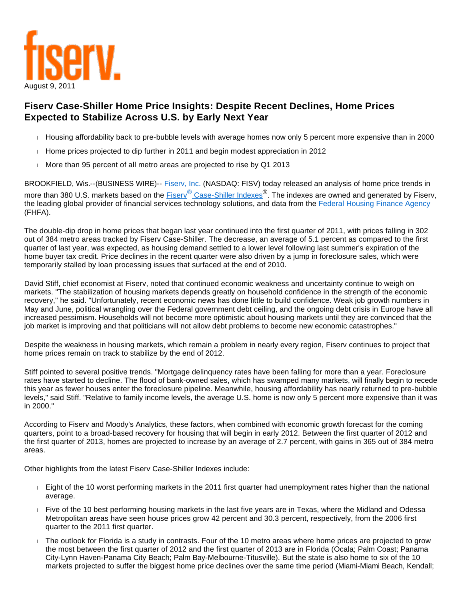

## **Fiserv Case-Shiller Home Price Insights: Despite Recent Declines, Home Prices Expected to Stabilize Across U.S. by Early Next Year**

- Housing affordability back to pre-bubble levels with average homes now only 5 percent more expensive than in 2000
- $\parallel$  Home prices projected to dip further in 2011 and begin modest appreciation in 2012
- More than 95 percent of all metro areas are projected to rise by  $Q1$  2013

BROOKFIELD, Wis.--(BUSINESS WIRE)-- **[Fiserv, Inc.](http://cts.businesswire.com/ct/CT?id=smartlink&url=http%3A%2F%2Fwww.fiserv.com%2F&esheet=6824381&lan=en-US&anchor=Fiserv%2C+Inc.&index=1&md5=a147037710bdd26b06f067814ad950ca)** (NASDAQ: FISV) today released an analysis of home price trends in more than 380 U.S. markets based on the <u>Fiserv<sup>®</sup> [Case-Shiller Indexes](http://cts.businesswire.com/ct/CT?id=smartlink&url=http%3A%2F%2Fwww.caseshiller.fiserv.com&esheet=6824381&lan=en-US&anchor=Fiserv%C2%AE+Case-Shiller+Indexes&index=2&md5=773fae93b5d374b035c42cc7667ff112)</u>®. The indexes are owned and generated by Fiserv, the leading global provider of financial services technology solutions, and data from the [Federal Housing Finance Agency](http://cts.businesswire.com/ct/CT?id=smartlink&url=http%3A%2F%2Fwww.fhfa.gov%2F&esheet=6824381&lan=en-US&anchor=Federal+Housing+Finance+Agency&index=3&md5=3d89a3f77b0f95ff52ec56aca4c52849) (FHFA).

The double-dip drop in home prices that began last year continued into the first quarter of 2011, with prices falling in 302 out of 384 metro areas tracked by Fiserv Case-Shiller. The decrease, an average of 5.1 percent as compared to the first quarter of last year, was expected, as housing demand settled to a lower level following last summer's expiration of the home buyer tax credit. Price declines in the recent quarter were also driven by a jump in foreclosure sales, which were temporarily stalled by loan processing issues that surfaced at the end of 2010.

David Stiff, chief economist at Fiserv, noted that continued economic weakness and uncertainty continue to weigh on markets. "The stabilization of housing markets depends greatly on household confidence in the strength of the economic recovery," he said. "Unfortunately, recent economic news has done little to build confidence. Weak job growth numbers in May and June, political wrangling over the Federal government debt ceiling, and the ongoing debt crisis in Europe have all increased pessimism. Households will not become more optimistic about housing markets until they are convinced that the job market is improving and that politicians will not allow debt problems to become new economic catastrophes."

Despite the weakness in housing markets, which remain a problem in nearly every region, Fiserv continues to project that home prices remain on track to stabilize by the end of 2012.

Stiff pointed to several positive trends. "Mortgage delinquency rates have been falling for more than a year. Foreclosure rates have started to decline. The flood of bank-owned sales, which has swamped many markets, will finally begin to recede this year as fewer houses enter the foreclosure pipeline. Meanwhile, housing affordability has nearly returned to pre-bubble levels," said Stiff. "Relative to family income levels, the average U.S. home is now only 5 percent more expensive than it was in 2000."

According to Fiserv and Moody's Analytics, these factors, when combined with economic growth forecast for the coming quarters, point to a broad-based recovery for housing that will begin in early 2012. Between the first quarter of 2012 and the first quarter of 2013, homes are projected to increase by an average of 2.7 percent, with gains in 365 out of 384 metro areas.

Other highlights from the latest Fiserv Case-Shiller Indexes include:

- Eight of the 10 worst performing markets in the 2011 first quarter had unemployment rates higher than the national average.
- Five of the 10 best performing housing markets in the last five years are in Texas, where the Midland and Odessa Metropolitan areas have seen house prices grow 42 percent and 30.3 percent, respectively, from the 2006 first quarter to the 2011 first quarter.
- The outlook for Florida is a study in contrasts. Four of the 10 metro areas where home prices are projected to grow the most between the first quarter of 2012 and the first quarter of 2013 are in Florida (Ocala; Palm Coast; Panama City-Lynn Haven-Panama City Beach; Palm Bay-Melbourne-Titusville). But the state is also home to six of the 10 markets projected to suffer the biggest home price declines over the same time period (Miami-Miami Beach, Kendall;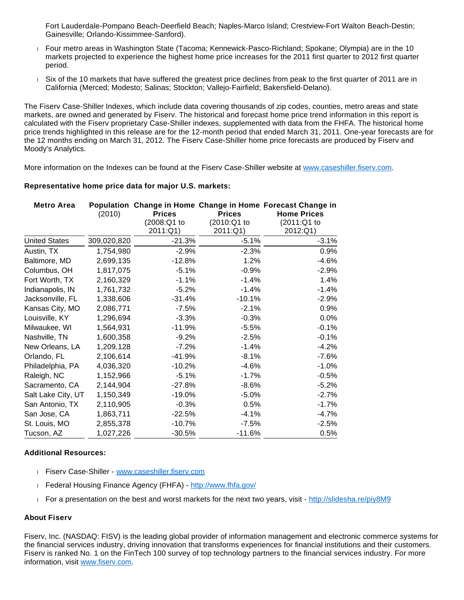Fort Lauderdale-Pompano Beach-Deerfield Beach; Naples-Marco Island; Crestview-Fort Walton Beach-Destin; Gainesville; Orlando-Kissimmee-Sanford).

- Four metro areas in Washington State (Tacoma; Kennewick-Pasco-Richland; Spokane; Olympia) are in the 10 markets projected to experience the highest home price increases for the 2011 first quarter to 2012 first quarter period.
- Six of the 10 markets that have suffered the greatest price declines from peak to the first quarter of 2011 are in California (Merced; Modesto; Salinas; Stockton; Vallejo-Fairfield; Bakersfield-Delano).

The Fiserv Case-Shiller Indexes, which include data covering thousands of zip codes, counties, metro areas and state markets, are owned and generated by Fiserv. The historical and forecast home price trend information in this report is calculated with the Fiserv proprietary Case-Shiller indexes, supplemented with data from the FHFA. The historical home price trends highlighted in this release are for the 12-month period that ended March 31, 2011. One-year forecasts are for the 12 months ending on March 31, 2012. The Fiserv Case-Shiller home price forecasts are produced by Fiserv and Moody's Analytics.

More information on the Indexes can be found at the Fiserv Case-Shiller website at [www.caseshiller.fiserv.com.](http://cts.businesswire.com/ct/CT?id=smartlink&url=http%3A%2F%2Fwww.caseshiller.fiserv.com&esheet=6824381&lan=en-US&anchor=www.caseshiller.fiserv.com&index=4&md5=ece5a246539b1aa2534d048cfbc81c92)

## **Representative home price data for major U.S. markets:**

| <b>Metro Area</b>    | (2010)      | <b>Prices</b><br>(2008:Q1 to<br>2011:Q1) | <b>Prices</b><br>(2010:Q1 to<br>2011:Q1) | Population Change in Home Change in Home Forecast Change in<br><b>Home Prices</b><br>(2011:Q1 to<br>2012:Q1) |
|----------------------|-------------|------------------------------------------|------------------------------------------|--------------------------------------------------------------------------------------------------------------|
| <b>United States</b> | 309,020,820 | -21.3%                                   | $-5.1%$                                  | $-3.1%$                                                                                                      |
| Austin, TX           | 1,754,980   | $-2.9%$                                  | $-2.3%$                                  | 0.9%                                                                                                         |
| Baltimore, MD        | 2,699,135   | -12.8%                                   | 1.2%                                     | $-4.6%$                                                                                                      |
| Columbus, OH         | 1,817,075   | $-5.1%$                                  | $-0.9%$                                  | $-2.9%$                                                                                                      |
| Fort Worth, TX       | 2,160,329   | $-1.1%$                                  | $-1.4%$                                  | 1.4%                                                                                                         |
| Indianapolis, IN     | 1,761,732   | $-5.2%$                                  | $-1.4%$                                  | $-1.4%$                                                                                                      |
| Jacksonville, FL     | 1,338,606   | $-31.4%$                                 | $-10.1%$                                 | $-2.9%$                                                                                                      |
| Kansas City, MO      | 2,086,771   | $-7.5%$                                  | $-2.1%$                                  | 0.9%                                                                                                         |
| Louisville, KY       | 1,296,694   | $-3.3%$                                  | $-0.3%$                                  | 0.0%                                                                                                         |
| Milwaukee, WI        | 1,564,931   | $-11.9%$                                 | $-5.5%$                                  | $-0.1%$                                                                                                      |
| Nashville, TN        | 1,600,358   | $-9.2%$                                  | $-2.5%$                                  | $-0.1%$                                                                                                      |
| New Orleans, LA      | 1,209,128   | $-7.2%$                                  | $-1.4%$                                  | $-4.2%$                                                                                                      |
| Orlando, FL          | 2,106,614   | -41.9%                                   | $-8.1%$                                  | $-7.6%$                                                                                                      |
| Philadelphia, PA     | 4,036,320   | $-10.2%$                                 | $-4.6%$                                  | $-1.0%$                                                                                                      |
| Raleigh, NC          | 1,152,966   | $-5.1%$                                  | $-1.7%$                                  | $-0.5%$                                                                                                      |
| Sacramento, CA       | 2,144,904   | $-27.8%$                                 | $-8.6%$                                  | $-5.2%$                                                                                                      |
| Salt Lake City, UT   | 1,150,349   | -19.0%                                   | $-5.0%$                                  | $-2.7%$                                                                                                      |
| San Antonio, TX      | 2,110,905   | $-0.3%$                                  | 0.5%                                     | $-1.7%$                                                                                                      |
| San Jose, CA         | 1,863,711   | $-22.5%$                                 | $-4.1%$                                  | $-4.7\%$                                                                                                     |
| St. Louis, MO        | 2,855,378   | $-10.7%$                                 | $-7.5%$                                  | $-2.5%$                                                                                                      |
| Tucson, AZ           | 1,027,226   | $-30.5%$                                 | $-11.6%$                                 | 0.5%                                                                                                         |

## **Additional Resources:**

- Fiserv Case-Shiller [www.caseshiller.fiserv.com](http://cts.businesswire.com/ct/CT?id=smartlink&url=http%3A%2F%2Fwww.caseshiller.fiserv.com&esheet=6824381&lan=en-US&anchor=www.caseshiller.fiserv.com&index=5&md5=d61026b6fa416c5f96721f9186e8670c)
- Federal Housing Finance Agency (FHFA) [http://www.fhfa.gov/](http://cts.businesswire.com/ct/CT?id=smartlink&url=http%3A%2F%2Fwww.fhfa.gov%2F&esheet=6824381&lan=en-US&anchor=http%3A%2F%2Fwww.fhfa.gov%2F&index=6&md5=6b22a0dbe283aacc8c18e83a5841ea62)
- For a presentation on the best and worst markets for the next two years, visit [http://slidesha.re/piy8M9](http://cts.businesswire.com/ct/CT?id=smartlink&url=http%3A%2F%2Fslidesha.re%2Fpiy8M9&esheet=6824381&lan=en-US&anchor=http%3A%2F%2Fslidesha.re%2Fpiy8M9&index=7&md5=dcc30359a31c51e3ac8abaa37485cb1c)

## **About Fiserv**

Fiserv, Inc. (NASDAQ: FISV) is the leading global provider of information management and electronic commerce systems for the financial services industry, driving innovation that transforms experiences for financial institutions and their customers. Fiserv is ranked No. 1 on the FinTech 100 survey of top technology partners to the financial services industry. For more information, visit [www.fiserv.com](http://cts.businesswire.com/ct/CT?id=smartlink&url=http%3A%2F%2Fwww.fiserv.com&esheet=6824381&lan=en-US&anchor=www.fiserv.com&index=8&md5=cfca9fe48de141d70a5de83ea3a66668).